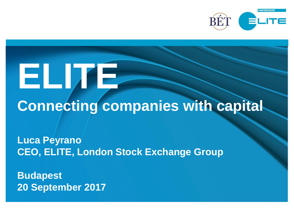

# **ELITE Connecting companies with capital**

**Luca Peyrano CEO, ELITE, London Stock Exchange Group**

**Budapest 20 September 2017**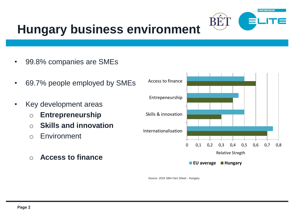

### **Hungary business environment**

- 99.8% companies are SMEs
- 69.7% people employed by SMEs
- Key development areas
	- o **Entrepreneurship**
	- o **Skills and innovation**
	- o Environment
	- o **Access to finance**



*Source: 2016 SBA Fact Sheet - Hungary*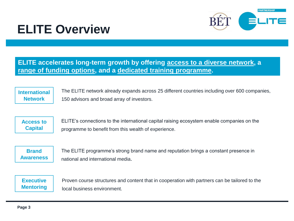

### **ELITE Overview**

**ELITE accelerates long-term growth by offering access to a diverse network, a range of funding options, and a dedicated training programme.**

**International Network**

The ELITE network already expands across 25 different countries including over 600 companies, 150 advisors and broad array of investors.

**Access to Capital**

ELITE's connections to the international capital raising ecosystem enable companies on the programme to benefit from this wealth of experience.

**Brand Awareness**

The ELITE programme's strong brand name and reputation brings a constant presence in national and international media.

**Executive Mentoring**

Proven course structures and content that in cooperation with partners can be tailored to the local business environment.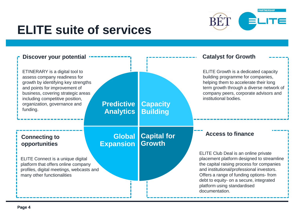

### **ELITE suite of services**

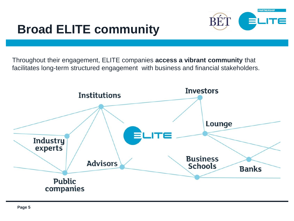## **Broad ELITE community**



Throughout their engagement, ELITE companies **access a vibrant community** that facilitates long-term structured engagement with business and financial stakeholders.

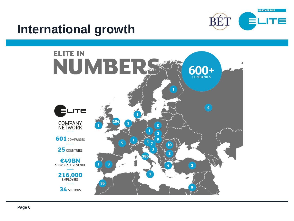

#### **International growth**

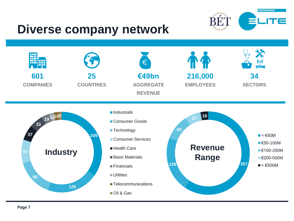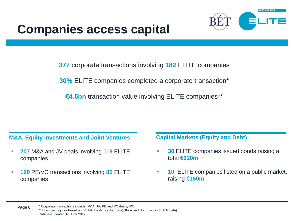

**377** corporate transactions involving **182** ELITE companies

**30%** ELITE companies completed a corporate transaction\*

**€4.6bn** transaction value involving ELITE companies\*\*

#### **M&A, Equity investments and Joint Ventures Capital Markets (Equity and Debt)**

- **207** M&A and JV deals involving **119** ELITE companies
- **120** PE/VC transactions involving **80** ELITE companies

- **30 ELITE companies issued bonds raising a** total **€920m**
- **10** ELITE companies listed on a public market, raising **€150m**

\* Corporate transactions include: M&A, JV, PE and VC deals, IPO \*\* Disclosed figures based on: PE/VC Deals (Zephyr data), IPOs and Bond Issues (LSEG data) Data last updated 16 June 2017 **Page 8**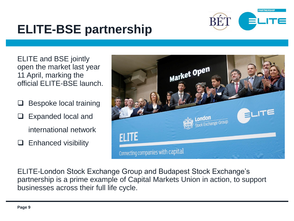

### **ELITE-BSE partnership**

ELITE and BSE jointly open the market last year 11 April, marking the official ELITE-BSE launch.

- Bespoke local training
- Expanded local and international network
- $\Box$  Enhanced visibility



ELITE-London Stock Exchange Group and Budapest Stock Exchange's partnership is a prime example of Capital Markets Union in action, to support businesses across their full life cycle.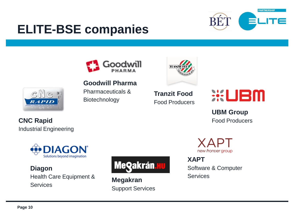

### **ELITE-BSE companies**





**Tranzit Food** Food Producers



**UBM Group** Food Producers

XAPT new frontier group

**XAPT** Software & Computer Services



**Goodwill Pharma** Pharmaceuticals & Biotechnology



**CNC Rapid** Industrial Engineering



**Diagon** Health Care Equipment & **Services** 



**Megakran** Support Services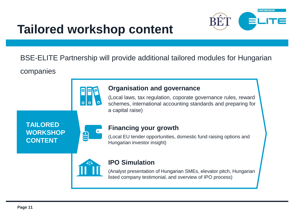

#### **Tailored workshop content**

BSE-ELITE Partnership will provide additional tailored modules for Hungarian

companies



#### **Organisation and governance**

(Local laws, tax regulation, coporate governance rules, reward schemes, international accounting standards and preparing for a capital raise)

**TAILORED WORKSHOP CONTENT**



#### **Financing your growth**

(Local EU tender opportunities, domestic fund raising options and Hungarian investor insight)



#### **IPO Simulation**

(Analyst presentation of Hungarian SMEs, elevator pitch, Hungarian listed company testimonial, and overview of IPO process)